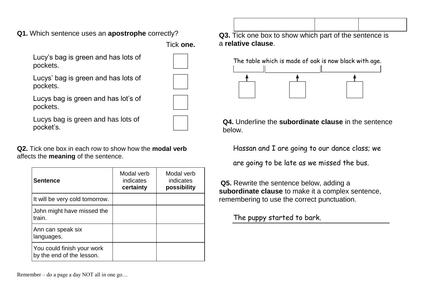**Q1.** Which sentence uses an **apostrophe** correctly?

Tick **one.**

Lucy's bag is green and has lots of pockets.

Lucys' bag is green and has lots of pockets.



Lucys bag is green and has lot's of pockets.

Lucys bag is green and has lots of pocket's.

**Q2.** Tick one box in each row to show how the **modal verb** affects the **meaning** of the sentence.

| <b>Sentence</b>                                         | Modal verb<br>indicates<br>certainty | Modal verb<br>indicates<br>possibility |
|---------------------------------------------------------|--------------------------------------|----------------------------------------|
| It will be very cold tomorrow.                          |                                      |                                        |
| John might have missed the<br>train.                    |                                      |                                        |
| Ann can speak six<br>languages.                         |                                      |                                        |
| You could finish your work<br>by the end of the lesson. |                                      |                                        |

**Q3.** Tick one box to show which part of the sentence is a **relative clause**.



**Q4.** Underline the **subordinate clause** in the sentence below.

Hassan and I are going to our dance class; we

are going to be late as we missed the bus.

**Q5.** Rewrite the sentence below, adding a **subordinate clause** to make it a complex sentence, remembering to use the correct punctuation.

The puppy started to bark.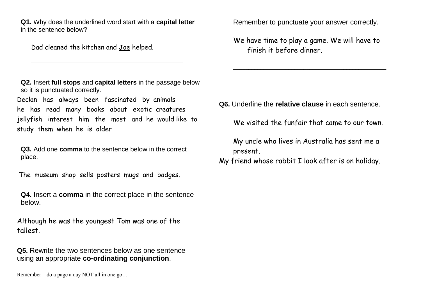**Q1.** Why does the underlined word start with a **capital letter** in the sentence below?

Dad cleaned the kitchen and Joe helped.

**Q2.** Insert **full stops** and **capital letters** in the passage below so it is punctuated correctly.

\_\_\_\_\_\_\_\_\_\_\_\_\_\_\_\_\_\_\_\_\_\_\_\_\_\_\_\_\_\_\_\_\_\_\_\_\_\_\_\_\_\_

Declan has always been fascinated by animals he has read many books about exotic creatures jellyfish interest him the most and he would like to study them when he is older

**Q3.** Add one **comma** to the sentence below in the correct place.

The museum shop sells posters mugs and badges.

**Q4.** Insert a **comma** in the correct place in the sentence below.

Although he was the youngest Tom was one of the tallest.

**Q5.** Rewrite the two sentences below as one sentence using an appropriate **co-ordinating conjunction**.

Remember to punctuate your answer correctly.

We have time to play a game. We will have to finish it before dinner.

\_\_\_\_\_\_\_\_\_\_\_\_\_\_\_\_\_\_\_\_\_\_\_\_\_\_\_\_\_\_\_\_\_\_\_\_\_\_\_\_\_\_\_\_\_\_\_\_\_\_

\_\_\_\_\_\_\_\_\_\_\_\_\_\_\_\_\_\_\_\_\_\_\_\_\_\_\_\_\_\_\_\_\_\_\_\_\_\_\_\_\_\_\_\_\_\_\_\_\_\_

**Q6.** Underline the **relative clause** in each sentence.

We visited the funfair that came to our town.

My uncle who lives in Australia has sent me a present.

My friend whose rabbit I look after is on holiday.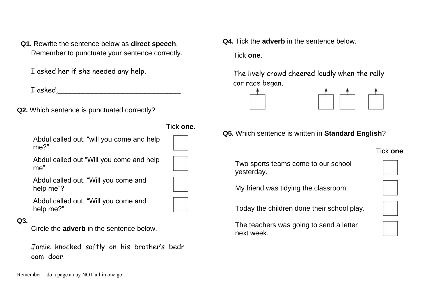**Q1.** Rewrite the sentence below as **direct speech**. Remember to punctuate your sentence correctly.

I asked her if she needed any help.

I asked,

**Q2.** Which sentence is punctuated correctly?

Abdul called out, "will you come and help me?"

Abdul called out "Will you come and help me"

Abdul called out, "Will you come and help me"?

Abdul called out, "Will you come and help me?"

#### **Q3.**

Circle the **adverb** in the sentence below.

Jamie knocked softly on his brother's bedr oom door.

Remember – do a page a day NOT all in one go…

**Q4.** Tick the **adverb** in the sentence below.

Tick **one**.

Tick **one.**

The lively crowd cheered loudly when the rally car race began.



**Q5.** Which sentence is written in **Standard English**?

## Tick **one**.

Two sports teams come to our school yesterday.



My friend was tidying the classroom.

Today the children done their school play.

The teachers was going to send a letter next week.



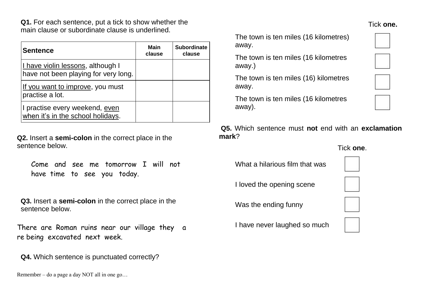**Q1.** For each sentence, put a tick to show whether the main clause or subordinate clause is underlined.

| <b>Sentence</b>                                                                   | Main<br>clause | <b>Subordinate</b><br>clause |
|-----------------------------------------------------------------------------------|----------------|------------------------------|
| <u>I have violin lessons</u> , although I<br>have not been playing for very long. |                |                              |
| If you want to improve, you must<br>practise a lot.                               |                |                              |
| I practise every weekend, even<br>when it's in the school holidays.               |                |                              |

**Q2.** Insert a **semi-colon** in the correct place in the sentence below.

|  |  | Come and see me tomorrow I will not |  |  |
|--|--|-------------------------------------|--|--|
|  |  | have time to see you today.         |  |  |

**Q3.** Insert a **semi-colon** in the correct place in the sentence below.

There are Roman ruins near our village they a re being excavated next week.

**Q4.** Which sentence is punctuated correctly?

Remember – do a page a day NOT all in one go…

The town is ten miles (16 kilometres) away.

The town is ten miles (16 kilometres away.)

The town is ten miles (16) kilometres away.

The town is ten miles (16 kilometres away).

**Q5.** Which sentence must **not** end with an **exclamation mark**?

### Tick **one**.

What a hilarious film that was

I loved the opening scene

Was the ending funny

I have never laughed so much





# Tick **one.**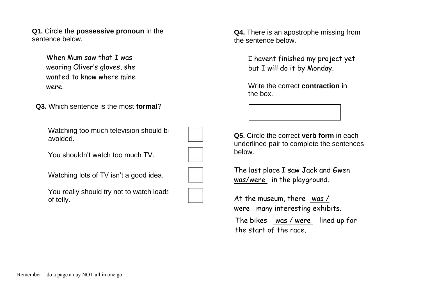**Q1.** Circle the **possessive pronoun** in the sentence below.

> When Mum saw that I was wearing Oliver's gloves, she wanted to know where mine were.

**Q3.** Which sentence is the most **formal**?

Watching too much television should be avoided.

You shouldn't watch too much TV.

Watching lots of TV isn't a good idea.

You really should try not to watch loads of telly.



**Q4.** There is an apostrophe missing from the sentence below.

> I havent finished my project yet but I will do it by Monday.

Write the correct **contraction** in the box.

**Q5.** Circle the correct **verb form** in each underlined pair to complete the sentences below.

The last place I saw Jack and Gwen was/were in the playground.

At the museum, there was / were many interesting exhibits. The bikes was / were lined up for the start of the race.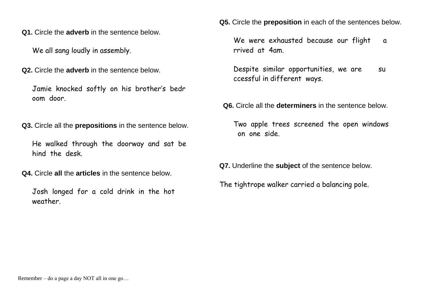**Q1.** Circle the **adverb** in the sentence below.

We all sang loudly in assembly.

**Q2.** Circle the **adverb** in the sentence below.

Jamie knocked softly on his brother's bedr oom door.

**Q3.** Circle all the **prepositions** in the sentence below.

He walked through the doorway and sat be hind the desk.

**Q4.** Circle **all** the **articles** in the sentence below.

Josh longed for a cold drink in the hot weather.

**Q5.** Circle the **preposition** in each of the sentences below.

We were exhausted because our flight a rrived at 4am.

Despite similar opportunities, we are su ccessful in different ways.

**Q6.** Circle all the **determiners** in the sentence below.

Two apple trees screened the open windows on one side.

**Q7.** Underline the **subject** of the sentence below.

The tightrope walker carried a balancing pole.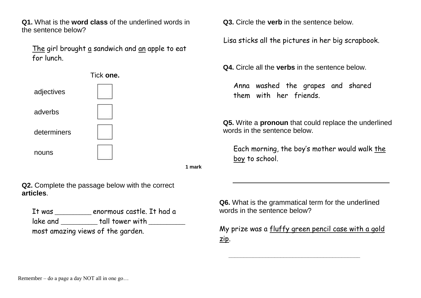**Q1.** What is the **word class** of the underlined words in the sentence below?

The girl brought a sandwich and an apple to eat for lunch.



**1 mark**

**Q2.** Complete the passage below with the correct **articles**.

It was \_\_\_\_\_\_\_\_\_\_\_\_ enormous castle. It had a lake and  $_{\rm{t}}$  tall tower with most amazing views of the garden.

**Q3.** Circle the **verb** in the sentence below.

Lisa sticks all the pictures in her big scrapbook.

**Q4.** Circle all the **verbs** in the sentence below.

Anna washed the grapes and shared them with her friends.

**Q5.** Write a **pronoun** that could replace the underlined words in the sentence below.

Each morning, the boy's mother would walk the boy to school.

**Q6.** What is the grammatical term for the underlined words in the sentence below?

My prize was a fluffy green pencil case with a gold zip.

**\_\_\_\_\_\_\_\_\_\_\_\_\_\_\_\_\_\_\_\_\_\_\_\_\_\_\_\_\_\_\_\_\_\_\_\_\_\_\_\_\_\_\_**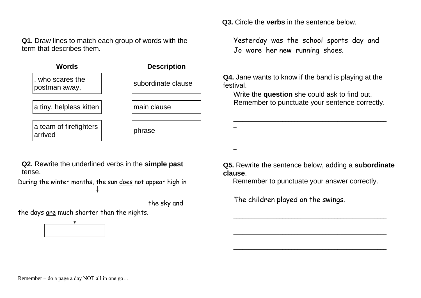**Q1.** Draw lines to match each group of words with the term that describes them.

| Words                             | <b>Description</b> |
|-----------------------------------|--------------------|
| , who scares the<br>postman away, | subordinate clause |
| a tiny, helpless kitten           | main clause        |
| a team of firefighters<br>arrived | phrase             |

**Q2.** Rewrite the underlined verbs in the **simple past** tense.

During the winter months, the sun does not appear high in

the sky and

the days are much shorter than the nights.

**Q5.** Rewrite the sentence below, adding a **subordinate clause**.

Remember to punctuate your answer correctly.

\_\_\_\_\_\_\_\_\_\_\_\_\_\_\_\_\_\_\_\_\_\_\_\_\_\_\_\_\_\_\_\_\_\_\_\_\_\_\_\_\_\_\_\_\_\_\_\_\_\_

\_\_\_\_\_\_\_\_\_\_\_\_\_\_\_\_\_\_\_\_\_\_\_\_\_\_\_\_\_\_\_\_\_\_\_\_\_\_\_\_\_\_\_\_\_\_\_\_\_\_

\_\_\_\_\_\_\_\_\_\_\_\_\_\_\_\_\_\_\_\_\_\_\_\_\_\_\_\_\_\_\_\_\_\_\_\_\_\_\_\_\_\_\_\_\_\_\_\_\_\_

The children played on the swings.

\_

\_

**Q3.** Circle the **verbs** in the sentence below.

Yesterday was the school sports day and Jo wore her new running shoes.

**Q4.** Jane wants to know if the band is playing at the festival.

Write the **question** she could ask to find out. Remember to punctuate your sentence correctly.

\_\_\_\_\_\_\_\_\_\_\_\_\_\_\_\_\_\_\_\_\_\_\_\_\_\_\_\_\_\_\_\_\_\_\_\_\_\_\_\_\_\_\_\_\_\_\_\_\_\_

\_\_\_\_\_\_\_\_\_\_\_\_\_\_\_\_\_\_\_\_\_\_\_\_\_\_\_\_\_\_\_\_\_\_\_\_\_\_\_\_\_\_\_\_\_\_\_\_\_\_

Remember – do a page a day NOT all in one go…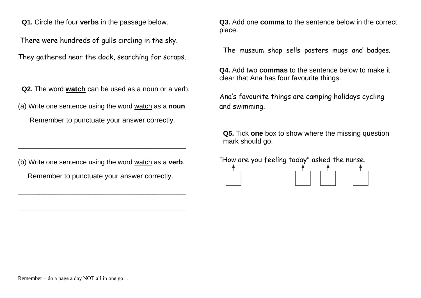**Q1.** Circle the four **verbs** in the passage below.

There were hundreds of gulls circling in the sky.

They gathered near the dock, searching for scraps.

**Q2.** The word **watch** can be used as a noun or a verb.

(a) Write one sentence using the word watch as a **noun**.

Remember to punctuate your answer correctly.

\_\_\_\_\_\_\_\_\_\_\_\_\_\_\_\_\_\_\_\_\_\_\_\_\_\_\_\_\_\_\_\_\_\_\_\_\_\_\_\_\_\_\_\_\_\_\_\_\_\_\_\_\_\_\_

\_\_\_\_\_\_\_\_\_\_\_\_\_\_\_\_\_\_\_\_\_\_\_\_\_\_\_\_\_\_\_\_\_\_\_\_\_\_\_\_\_\_\_\_\_\_\_\_\_\_\_\_\_\_\_

(b) Write one sentence using the word watch as a **verb**. Remember to punctuate your answer correctly.

\_\_\_\_\_\_\_\_\_\_\_\_\_\_\_\_\_\_\_\_\_\_\_\_\_\_\_\_\_\_\_\_\_\_\_\_\_\_\_\_\_\_\_\_\_\_\_\_\_\_\_\_\_\_\_

\_\_\_\_\_\_\_\_\_\_\_\_\_\_\_\_\_\_\_\_\_\_\_\_\_\_\_\_\_\_\_\_\_\_\_\_\_\_\_\_\_\_\_\_\_\_\_\_\_\_\_\_\_\_\_

**Q3.** Add one **comma** to the sentence below in the correct place.

The museum shop sells posters mugs and badges.

**Q4.** Add two **commas** to the sentence below to make it clear that Ana has four favourite things.

Ana's favourite things are camping holidays cycling and swimming.

**Q5.** Tick **one** box to show where the missing question mark should go.

"How are you feeling today" asked the nurse.